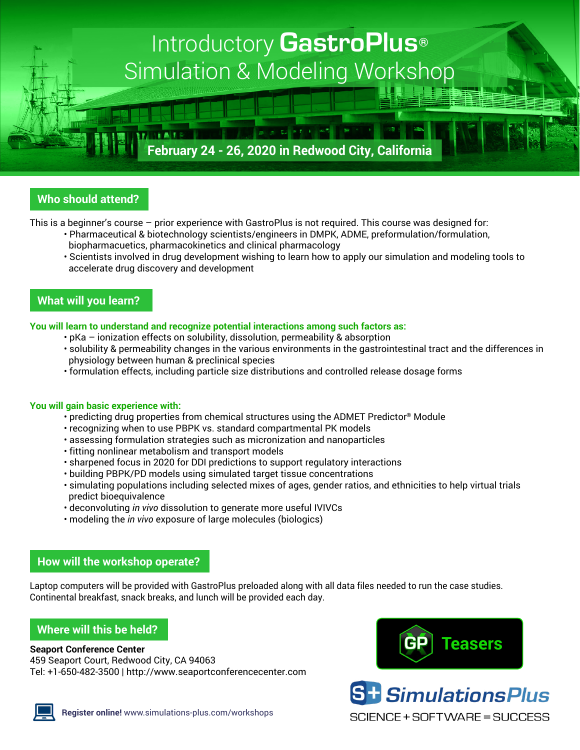# Introductory **GastroPlus®** Simulation & Modeling Workshop

## **February 24 - 26, 2020 in Redwood City, California**

2010年11月10日

### **Who should attend?**

This is a beginner's course – prior experience with GastroPlus is not required. This course was designed for:

- Pharmaceutical & biotechnology scientists/engineers in DMPK, ADME, preformulation/formulation, biopharmacuetics, pharmacokinetics and clinical pharmacology
	- Scientists involved in drug development wishing to learn how to apply our simulation and modeling tools to accelerate drug discovery and development

#### **What will you learn?**

**You will learn to understand and recognize potential interactions among such factors as:**

- pKa ionization effects on solubility, dissolution, permeability & absorption
- solubility & permeability changes in the various environments in the gastrointestinal tract and the differences in physiology between human & preclinical species
- formulation effects, including particle size distributions and controlled release dosage forms

#### **You will gain basic experience with:**

- predicting drug properties from chemical structures using the ADMET Predictor® Module
- recognizing when to use PBPK vs. standard compartmental PK models
- assessing formulation strategies such as micronization and nanoparticles
- fitting nonlinear metabolism and transport models
- sharpened focus in 2020 for DDI predictions to support regulatory interactions
- building PBPK/PD models using simulated target tissue concentrations
- simulating populations including selected mixes of ages, gender ratios, and ethnicities to help virtual trials predict bioequivalence
- deconvoluting *in vivo* dissolution to generate more useful IVIVCs
- modeling the *in vivo* exposure of large molecules (biologics)

#### **How will the workshop operate?**

Laptop computers will be provided with GastroPlus preloaded along with all data files needed to run the case studies. Continental breakfast, snack breaks, and lunch will be provided each day.

#### **Where will this be held?**

#### **Seaport Conference Center**

459 Seaport Court, Redwood City, CA 94063 Tel: +1-650-482-3500 | <http://www.seaportconferencecenter.com>







**S<sup>+</sup>** SimulationsPlus